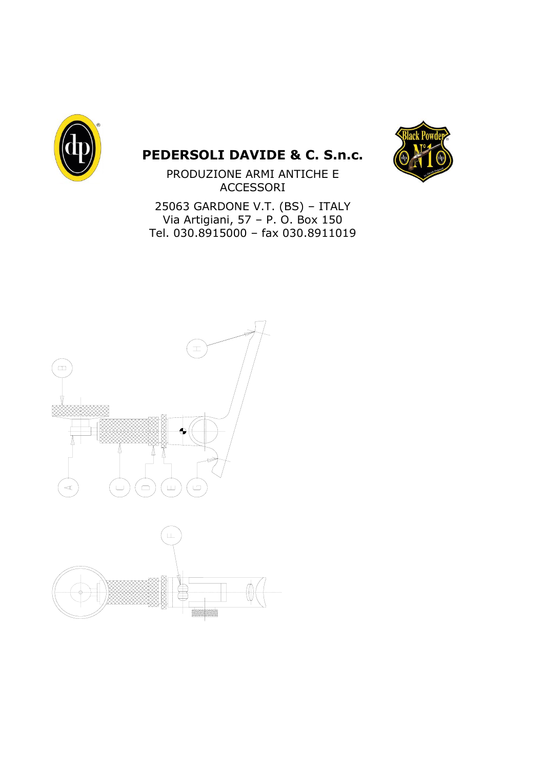

# **PEDERSOLI DAVIDE & C. S.n.c.**



PRODUZIONE ARMI ANTICHE E ACCESSORI

25063 GARDONE V.T. (BS) – ITALY Via Artigiani, 57 – P. O. Box 150 Tel. 030.8915000 – fax 030.8911019